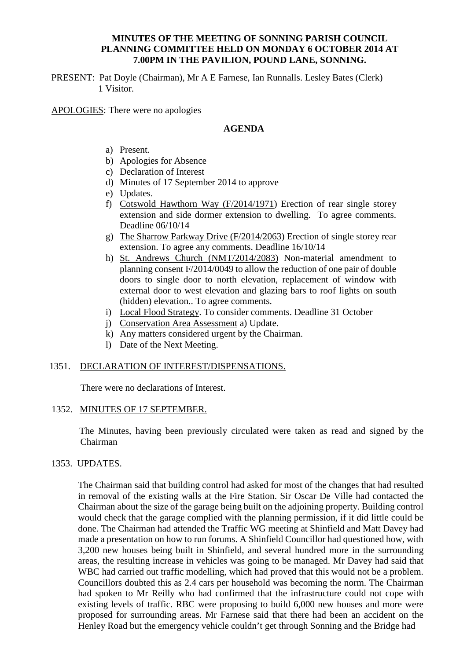#### **MINUTES OF THE MEETING OF SONNING PARISH COUNCIL PLANNING COMMITTEE HELD ON MONDAY 6 OCTOBER 2014 AT 7.00PM IN THE PAVILION, POUND LANE, SONNING.**

PRESENT: Pat Doyle (Chairman), Mr A E Farnese, Ian Runnalls. Lesley Bates (Clerk) 1 Visitor.

APOLOGIES: There were no apologies

#### **AGENDA**

- a) Present.
- b) Apologies for Absence
- c) Declaration of Interest
- d) Minutes of 17 September 2014 to approve
- e) Updates.
- f) Cotswold Hawthorn Way (F/2014/1971) Erection of rear single storey extension and side dormer extension to dwelling. To agree comments. Deadline 06/10/14
- g) The Sharrow Parkway Drive (F/2014/2063) Erection of single storey rear extension. To agree any comments. Deadline 16/10/14
- h) St. Andrews Church (NMT/2014/2083) Non-material amendment to planning consent F/2014/0049 to allow the reduction of one pair of double doors to single door to north elevation, replacement of window with external door to west elevation and glazing bars to roof lights on south (hidden) elevation.. To agree comments.
- i) Local Flood Strategy. To consider comments. Deadline 31 October
- j) Conservation Area Assessment a) Update.
- k) Any matters considered urgent by the Chairman.
- l) Date of the Next Meeting.

#### 1351. DECLARATION OF INTEREST/DISPENSATIONS.

There were no declarations of Interest.

#### 1352. MINUTES OF 17 SEPTEMBER.

 The Minutes, having been previously circulated were taken as read and signed by the Chairman

#### 1353. UPDATES.

The Chairman said that building control had asked for most of the changes that had resulted in removal of the existing walls at the Fire Station. Sir Oscar De Ville had contacted the Chairman about the size of the garage being built on the adjoining property. Building control would check that the garage complied with the planning permission, if it did little could be done. The Chairman had attended the Traffic WG meeting at Shinfield and Matt Davey had made a presentation on how to run forums. A Shinfield Councillor had questioned how, with 3,200 new houses being built in Shinfield, and several hundred more in the surrounding areas, the resulting increase in vehicles was going to be managed. Mr Davey had said that WBC had carried out traffic modelling, which had proved that this would not be a problem. Councillors doubted this as 2.4 cars per household was becoming the norm. The Chairman had spoken to Mr Reilly who had confirmed that the infrastructure could not cope with existing levels of traffic. RBC were proposing to build 6,000 new houses and more were proposed for surrounding areas. Mr Farnese said that there had been an accident on the Henley Road but the emergency vehicle couldn't get through Sonning and the Bridge had